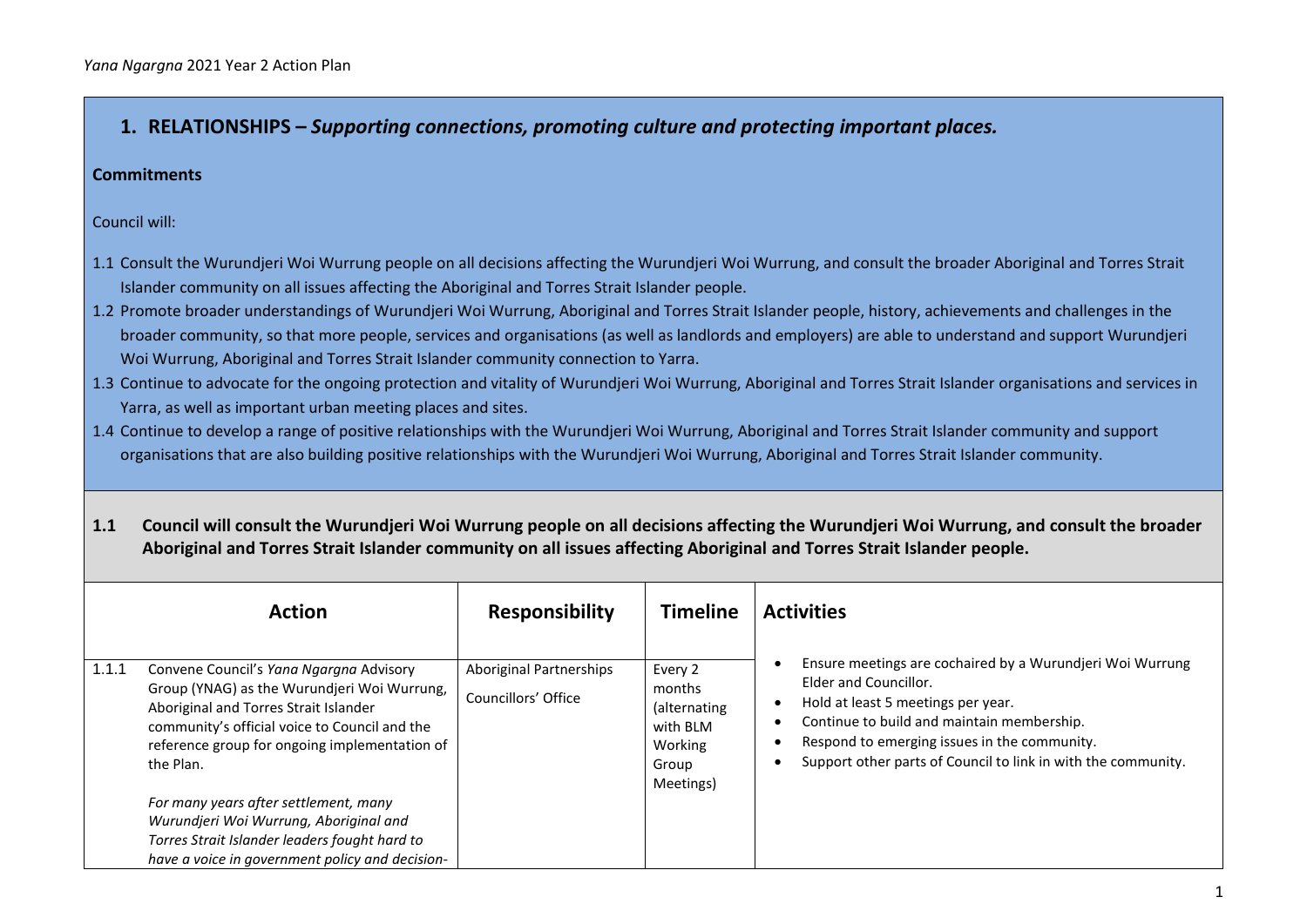# **1. RELATIONSHIPS –** *Supporting connections, promoting culture and protecting important places.*

#### **Commitments**

Council will:

- 1.1 Consult the Wurundjeri Woi Wurrung people on all decisions affecting the Wurundjeri Woi Wurrung, and consult the broader Aboriginal and Torres Strait Islander community on all issues affecting the Aboriginal and Torres Strait Islander people.
- 1.2 Promote broader understandings of Wurundjeri Woi Wurrung, Aboriginal and Torres Strait Islander people, history, achievements and challenges in the broader community, so that more people, services and organisations (as well as landlords and employers) are able to understand and support Wurundjeri Woi Wurrung, Aboriginal and Torres Strait Islander community connection to Yarra.
- 1.3 Continue to advocate for the ongoing protection and vitality of Wurundjeri Woi Wurrung, Aboriginal and Torres Strait Islander organisations and services in Yarra, as well as important urban meeting places and sites.
- 1.4 Continue to develop a range of positive relationships with the Wurundjeri Woi Wurrung, Aboriginal and Torres Strait Islander community and support organisations that are also building positive relationships with the Wurundjeri Woi Wurrung, Aboriginal and Torres Strait Islander community.
- **1.1 Council will consult the Wurundjeri Woi Wurrung people on all decisions affecting the Wurundjeri Woi Wurrung, and consult the broader Aboriginal and Torres Strait Islander community on all issues affecting Aboriginal and Torres Strait Islander people.**

|       | <b>Action</b>                                                                                                                                                                                                                                  | <b>Responsibility</b>                                 | <b>Timeline</b>                                                                | <b>Activities</b>                                                                                                                                                                                                                                                                       |
|-------|------------------------------------------------------------------------------------------------------------------------------------------------------------------------------------------------------------------------------------------------|-------------------------------------------------------|--------------------------------------------------------------------------------|-----------------------------------------------------------------------------------------------------------------------------------------------------------------------------------------------------------------------------------------------------------------------------------------|
| 1.1.1 | Convene Council's Yana Ngargna Advisory<br>Group (YNAG) as the Wurundjeri Woi Wurrung,<br>Aboriginal and Torres Strait Islander<br>community's official voice to Council and the<br>reference group for ongoing implementation of<br>the Plan. | <b>Aboriginal Partnerships</b><br>Councillors' Office | Every 2<br>months<br>(alternating<br>with BLM<br>Working<br>Group<br>Meetings) | Ensure meetings are cochaired by a Wurundjeri Woi Wurrung<br>Elder and Councillor.<br>Hold at least 5 meetings per year.<br>Continue to build and maintain membership.<br>Respond to emerging issues in the community.<br>Support other parts of Council to link in with the community. |
|       | For many years after settlement, many<br>Wurundjeri Woi Wurrung, Aboriginal and<br>Torres Strait Islander leaders fought hard to<br>have a voice in government policy and decision-                                                            |                                                       |                                                                                |                                                                                                                                                                                                                                                                                         |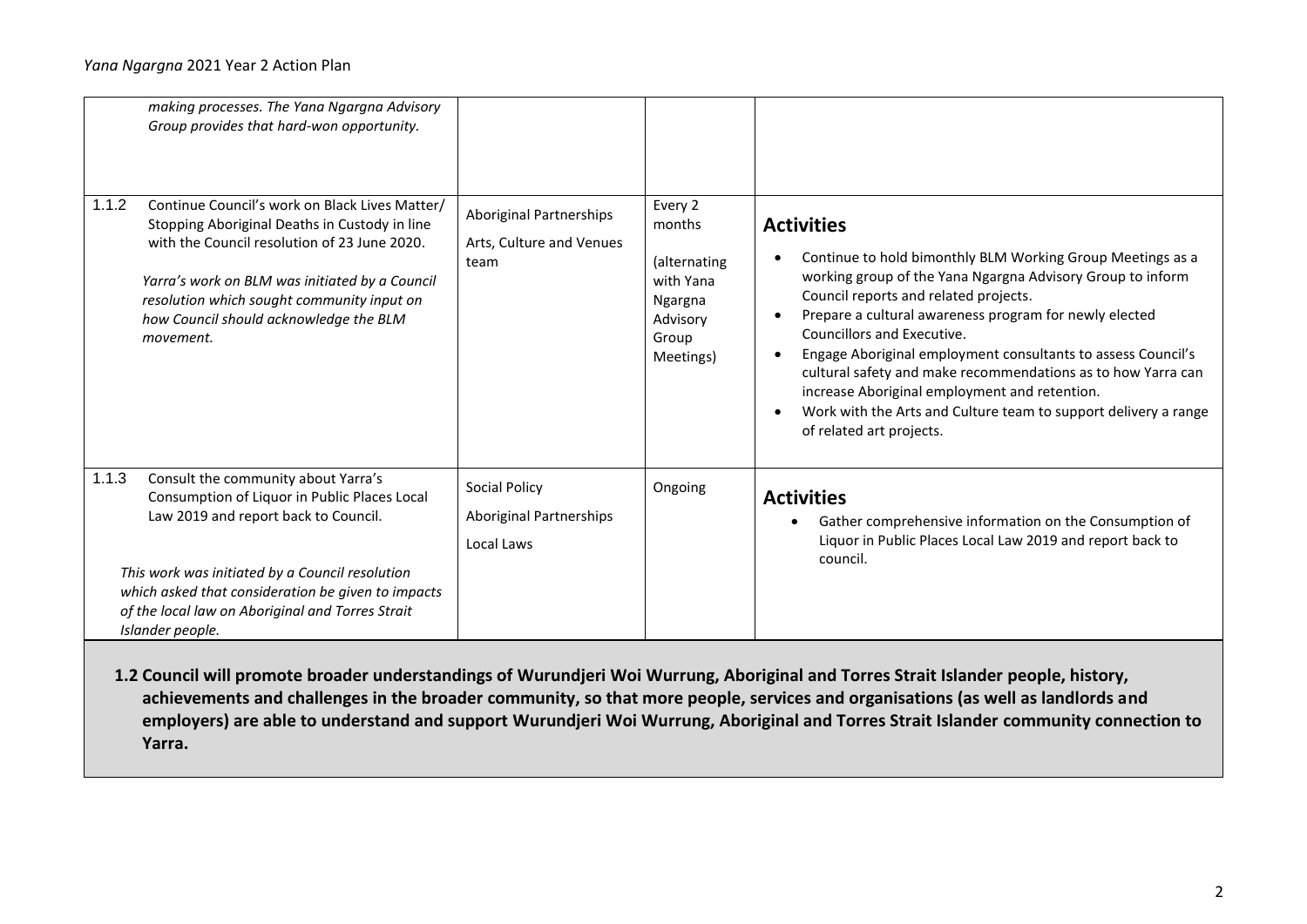| making processes. The Yana Ngargna Advisory<br>Group provides that hard-won opportunity.                                                                                                                                                                                                                              |                                                                    |                                                                                             |                                                                                                                                                                                                                                                                                                                                                                                                                                                                                                                                                                |
|-----------------------------------------------------------------------------------------------------------------------------------------------------------------------------------------------------------------------------------------------------------------------------------------------------------------------|--------------------------------------------------------------------|---------------------------------------------------------------------------------------------|----------------------------------------------------------------------------------------------------------------------------------------------------------------------------------------------------------------------------------------------------------------------------------------------------------------------------------------------------------------------------------------------------------------------------------------------------------------------------------------------------------------------------------------------------------------|
| 1.1.2<br>Continue Council's work on Black Lives Matter/<br>Stopping Aboriginal Deaths in Custody in line<br>with the Council resolution of 23 June 2020.<br>Yarra's work on BLM was initiated by a Council<br>resolution which sought community input on<br>how Council should acknowledge the BLM<br>movement.       | <b>Aboriginal Partnerships</b><br>Arts, Culture and Venues<br>team | Every 2<br>months<br>(alternating<br>with Yana<br>Ngargna<br>Advisory<br>Group<br>Meetings) | <b>Activities</b><br>Continue to hold bimonthly BLM Working Group Meetings as a<br>working group of the Yana Ngargna Advisory Group to inform<br>Council reports and related projects.<br>Prepare a cultural awareness program for newly elected<br>Councillors and Executive.<br>Engage Aboriginal employment consultants to assess Council's<br>cultural safety and make recommendations as to how Yarra can<br>increase Aboriginal employment and retention.<br>Work with the Arts and Culture team to support delivery a range<br>of related art projects. |
| 1.1.3<br>Consult the community about Yarra's<br>Consumption of Liquor in Public Places Local<br>Law 2019 and report back to Council.<br>This work was initiated by a Council resolution<br>which asked that consideration be given to impacts<br>of the local law on Aboriginal and Torres Strait<br>Islander people. | Social Policy<br><b>Aboriginal Partnerships</b><br>Local Laws      | Ongoing                                                                                     | <b>Activities</b><br>Gather comprehensive information on the Consumption of<br>Liquor in Public Places Local Law 2019 and report back to<br>council.                                                                                                                                                                                                                                                                                                                                                                                                           |

**1.2 Council will promote broader understandings of Wurundjeri Woi Wurrung, Aboriginal and Torres Strait Islander people, history, achievements and challenges in the broader community, so that more people, services and organisations (as well as landlords and employers) are able to understand and support Wurundjeri Woi Wurrung, Aboriginal and Torres Strait Islander community connection to Yarra.**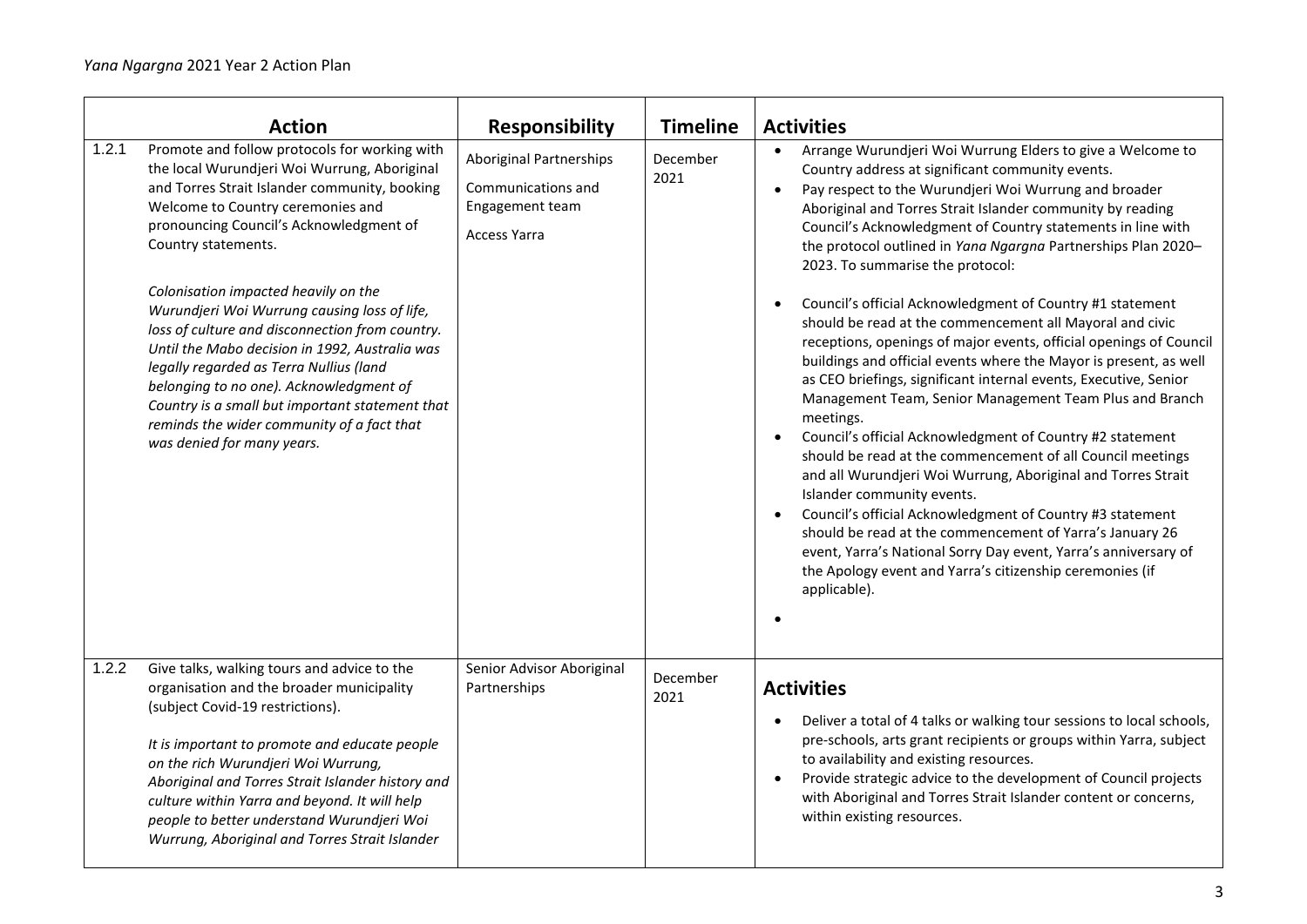|       | <b>Action</b>                                                                                                                                                                                                                                                                                                                                                                                                              | <b>Responsibility</b>                                                                          | <b>Timeline</b>  | <b>Activities</b>                                                                                                                                                                                                                                                                                                                                                                                                                                                                                                                                                                                                                                                                                                                                                                                                                                                                                                          |
|-------|----------------------------------------------------------------------------------------------------------------------------------------------------------------------------------------------------------------------------------------------------------------------------------------------------------------------------------------------------------------------------------------------------------------------------|------------------------------------------------------------------------------------------------|------------------|----------------------------------------------------------------------------------------------------------------------------------------------------------------------------------------------------------------------------------------------------------------------------------------------------------------------------------------------------------------------------------------------------------------------------------------------------------------------------------------------------------------------------------------------------------------------------------------------------------------------------------------------------------------------------------------------------------------------------------------------------------------------------------------------------------------------------------------------------------------------------------------------------------------------------|
| 1.2.1 | Promote and follow protocols for working with<br>the local Wurundjeri Woi Wurrung, Aboriginal<br>and Torres Strait Islander community, booking<br>Welcome to Country ceremonies and<br>pronouncing Council's Acknowledgment of<br>Country statements.                                                                                                                                                                      | <b>Aboriginal Partnerships</b><br>Communications and<br>Engagement team<br><b>Access Yarra</b> | December<br>2021 | Arrange Wurundjeri Woi Wurrung Elders to give a Welcome to<br>Country address at significant community events.<br>Pay respect to the Wurundjeri Woi Wurrung and broader<br>Aboriginal and Torres Strait Islander community by reading<br>Council's Acknowledgment of Country statements in line with<br>the protocol outlined in Yana Ngargna Partnerships Plan 2020-<br>2023. To summarise the protocol:                                                                                                                                                                                                                                                                                                                                                                                                                                                                                                                  |
|       | Colonisation impacted heavily on the<br>Wurundjeri Woi Wurrung causing loss of life,<br>loss of culture and disconnection from country.<br>Until the Mabo decision in 1992, Australia was<br>legally regarded as Terra Nullius (land<br>belonging to no one). Acknowledgment of<br>Country is a small but important statement that<br>reminds the wider community of a fact that<br>was denied for many years.             |                                                                                                |                  | Council's official Acknowledgment of Country #1 statement<br>should be read at the commencement all Mayoral and civic<br>receptions, openings of major events, official openings of Council<br>buildings and official events where the Mayor is present, as well<br>as CEO briefings, significant internal events, Executive, Senior<br>Management Team, Senior Management Team Plus and Branch<br>meetings.<br>Council's official Acknowledgment of Country #2 statement<br>should be read at the commencement of all Council meetings<br>and all Wurundjeri Woi Wurrung, Aboriginal and Torres Strait<br>Islander community events.<br>Council's official Acknowledgment of Country #3 statement<br>$\bullet$<br>should be read at the commencement of Yarra's January 26<br>event, Yarra's National Sorry Day event, Yarra's anniversary of<br>the Apology event and Yarra's citizenship ceremonies (if<br>applicable). |
| 1.2.2 | Give talks, walking tours and advice to the<br>organisation and the broader municipality<br>(subject Covid-19 restrictions).<br>It is important to promote and educate people<br>on the rich Wurundjeri Woi Wurrung,<br>Aboriginal and Torres Strait Islander history and<br>culture within Yarra and beyond. It will help<br>people to better understand Wurundjeri Woi<br>Wurrung, Aboriginal and Torres Strait Islander | Senior Advisor Aboriginal<br>Partnerships                                                      | December<br>2021 | <b>Activities</b><br>Deliver a total of 4 talks or walking tour sessions to local schools,<br>pre-schools, arts grant recipients or groups within Yarra, subject<br>to availability and existing resources.<br>Provide strategic advice to the development of Council projects<br>$\bullet$<br>with Aboriginal and Torres Strait Islander content or concerns,<br>within existing resources.                                                                                                                                                                                                                                                                                                                                                                                                                                                                                                                               |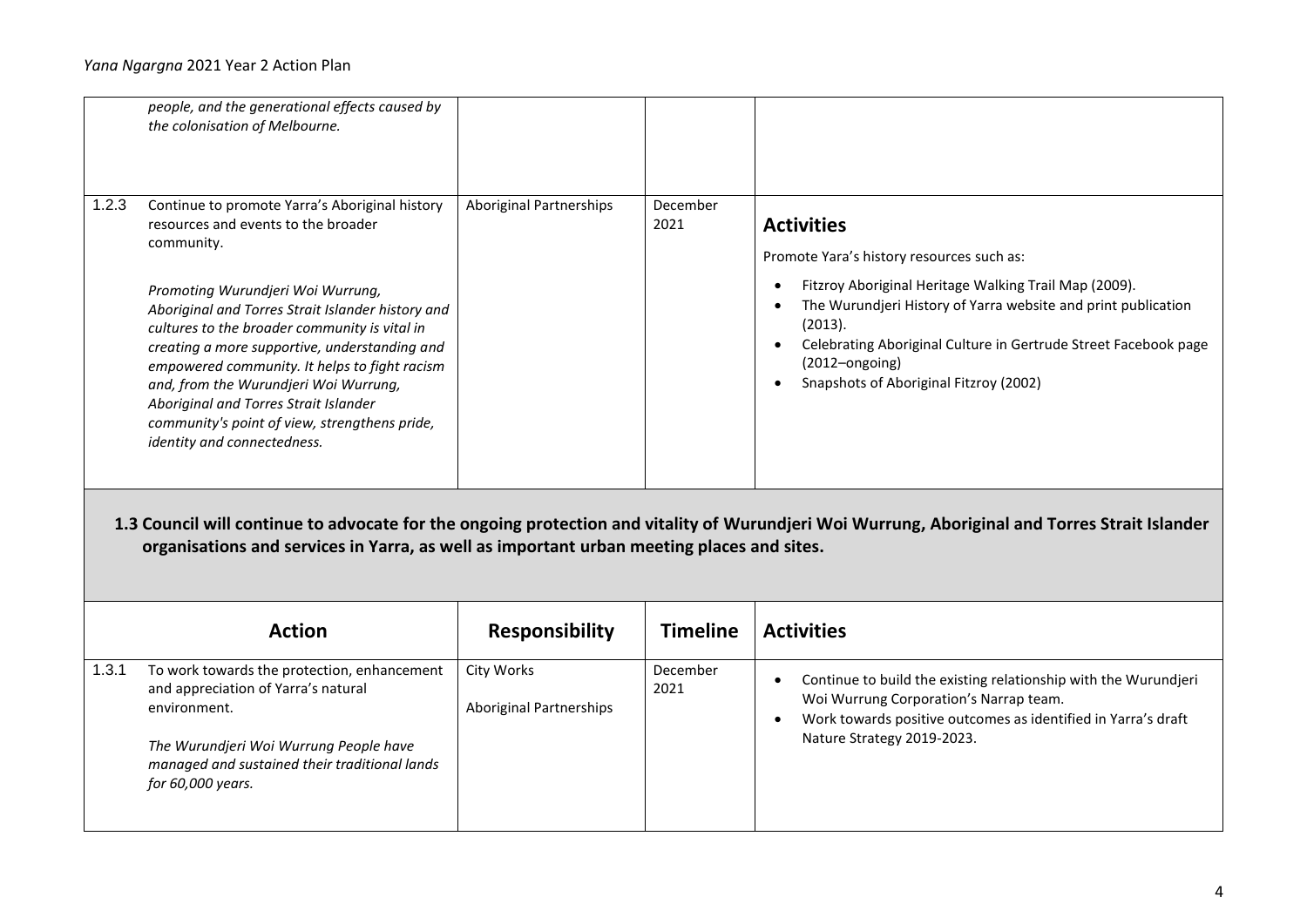|       | people, and the generational effects caused by<br>the colonisation of Melbourne.                                                                                                                                                                                                                                                                                                                                                                                                                                   |                                |                  |                                                                                                                                                                                                                                                                                                                                                     |
|-------|--------------------------------------------------------------------------------------------------------------------------------------------------------------------------------------------------------------------------------------------------------------------------------------------------------------------------------------------------------------------------------------------------------------------------------------------------------------------------------------------------------------------|--------------------------------|------------------|-----------------------------------------------------------------------------------------------------------------------------------------------------------------------------------------------------------------------------------------------------------------------------------------------------------------------------------------------------|
| 1.2.3 | Continue to promote Yarra's Aboriginal history<br>resources and events to the broader<br>community.<br>Promoting Wurundjeri Woi Wurrung,<br>Aboriginal and Torres Strait Islander history and<br>cultures to the broader community is vital in<br>creating a more supportive, understanding and<br>empowered community. It helps to fight racism<br>and, from the Wurundjeri Woi Wurrung,<br>Aboriginal and Torres Strait Islander<br>community's point of view, strengthens pride,<br>identity and connectedness. | <b>Aboriginal Partnerships</b> | December<br>2021 | <b>Activities</b><br>Promote Yara's history resources such as:<br>Fitzroy Aboriginal Heritage Walking Trail Map (2009).<br>The Wurundjeri History of Yarra website and print publication<br>(2013).<br>Celebrating Aboriginal Culture in Gertrude Street Facebook page<br>$\bullet$<br>$(2012 - ongoing)$<br>Snapshots of Aboriginal Fitzroy (2002) |
|       |                                                                                                                                                                                                                                                                                                                                                                                                                                                                                                                    |                                |                  |                                                                                                                                                                                                                                                                                                                                                     |
|       | organisations and services in Yarra, as well as important urban meeting places and sites.                                                                                                                                                                                                                                                                                                                                                                                                                          |                                |                  | 1.3 Council will continue to advocate for the ongoing protection and vitality of Wurundjeri Woi Wurrung, Aboriginal and Torres Strait Islander                                                                                                                                                                                                      |
|       | <b>Action</b>                                                                                                                                                                                                                                                                                                                                                                                                                                                                                                      | <b>Responsibility</b>          | <b>Timeline</b>  | <b>Activities</b>                                                                                                                                                                                                                                                                                                                                   |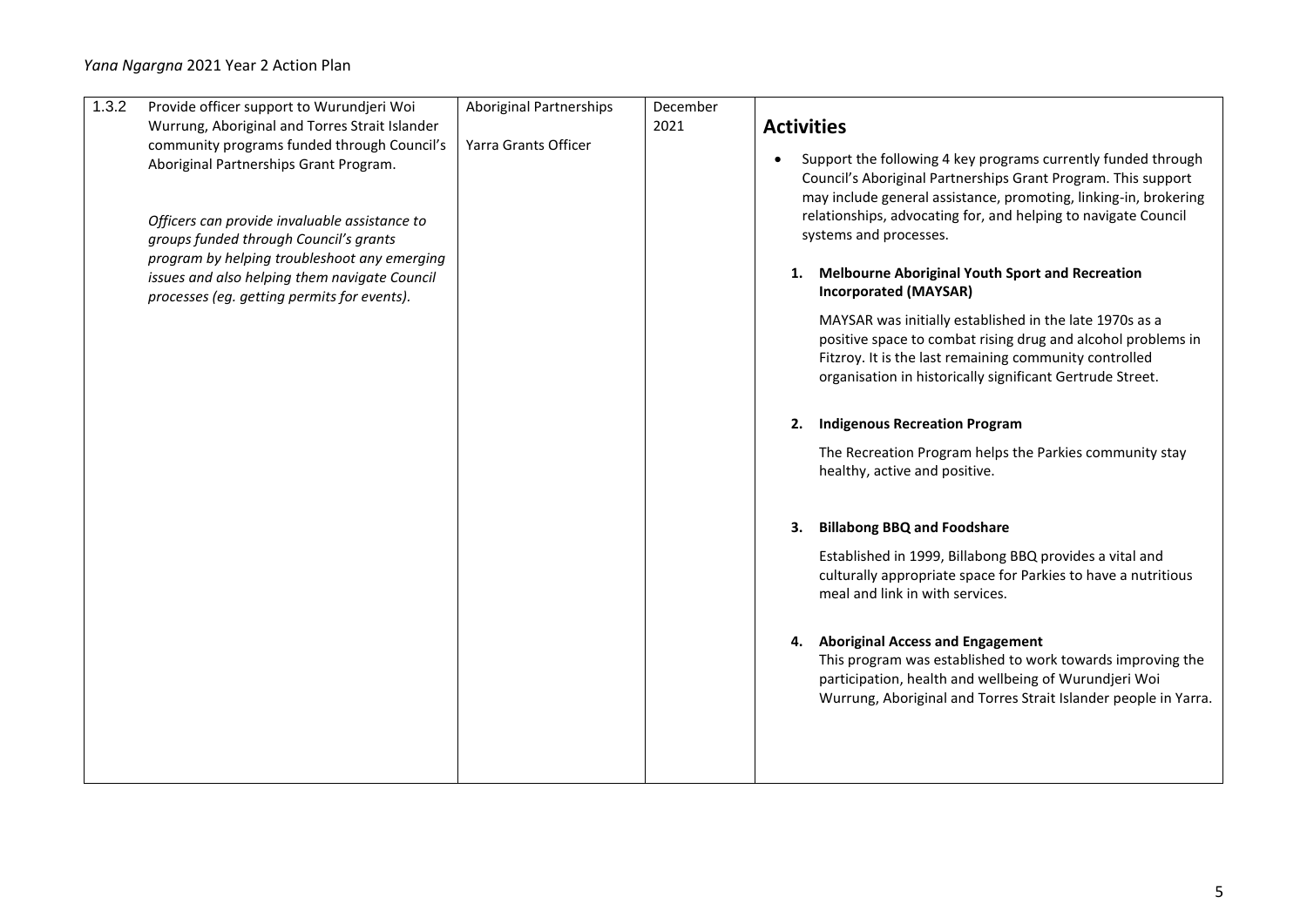| 1.3.2 | Provide officer support to Wurundjeri Woi                                                                                                                                        | <b>Aboriginal Partnerships</b> | December |                                                                                                                                                                                                                                                                                                             |
|-------|----------------------------------------------------------------------------------------------------------------------------------------------------------------------------------|--------------------------------|----------|-------------------------------------------------------------------------------------------------------------------------------------------------------------------------------------------------------------------------------------------------------------------------------------------------------------|
|       | Wurrung, Aboriginal and Torres Strait Islander                                                                                                                                   |                                | 2021     | <b>Activities</b>                                                                                                                                                                                                                                                                                           |
|       | community programs funded through Council's<br>Aboriginal Partnerships Grant Program.<br>Officers can provide invaluable assistance to<br>groups funded through Council's grants | Yarra Grants Officer           |          | Support the following 4 key programs currently funded through<br>$\bullet$<br>Council's Aboriginal Partnerships Grant Program. This support<br>may include general assistance, promoting, linking-in, brokering<br>relationships, advocating for, and helping to navigate Council<br>systems and processes. |
|       | program by helping troubleshoot any emerging<br>issues and also helping them navigate Council<br>processes (eg. getting permits for events).                                     |                                |          | <b>Melbourne Aboriginal Youth Sport and Recreation</b><br>1.<br><b>Incorporated (MAYSAR)</b>                                                                                                                                                                                                                |
|       |                                                                                                                                                                                  |                                |          | MAYSAR was initially established in the late 1970s as a<br>positive space to combat rising drug and alcohol problems in<br>Fitzroy. It is the last remaining community controlled<br>organisation in historically significant Gertrude Street.                                                              |
|       |                                                                                                                                                                                  |                                |          | <b>Indigenous Recreation Program</b><br>2.                                                                                                                                                                                                                                                                  |
|       |                                                                                                                                                                                  |                                |          | The Recreation Program helps the Parkies community stay<br>healthy, active and positive.                                                                                                                                                                                                                    |
|       |                                                                                                                                                                                  |                                |          | <b>Billabong BBQ and Foodshare</b><br>3.                                                                                                                                                                                                                                                                    |
|       |                                                                                                                                                                                  |                                |          | Established in 1999, Billabong BBQ provides a vital and<br>culturally appropriate space for Parkies to have a nutritious<br>meal and link in with services.                                                                                                                                                 |
|       |                                                                                                                                                                                  |                                |          | <b>Aboriginal Access and Engagement</b><br>4.<br>This program was established to work towards improving the<br>participation, health and wellbeing of Wurundjeri Woi<br>Wurrung, Aboriginal and Torres Strait Islander people in Yarra.                                                                     |
|       |                                                                                                                                                                                  |                                |          |                                                                                                                                                                                                                                                                                                             |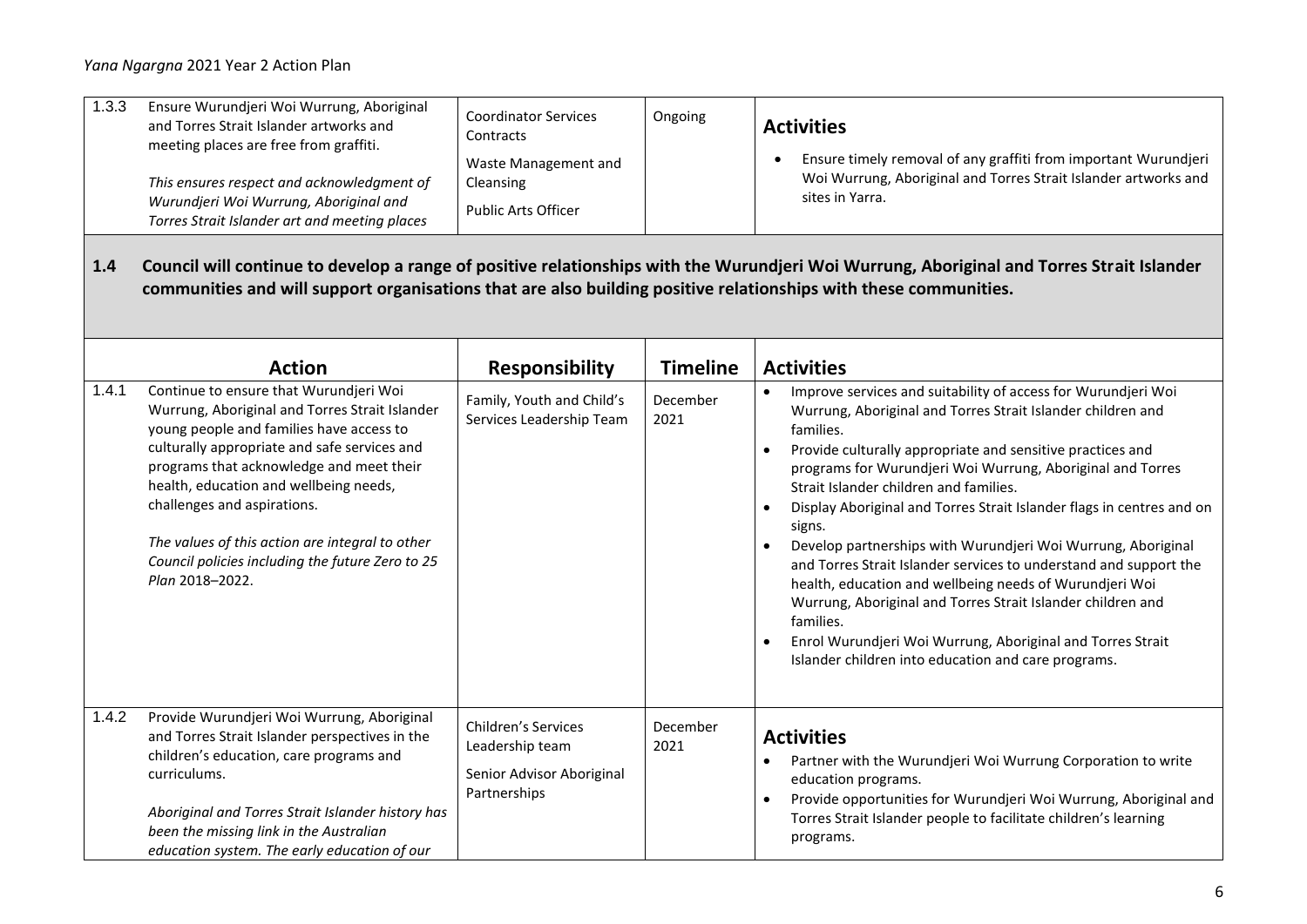| 1.3.3 | Ensure Wurundjeri Woi Wurrung, Aboriginal<br>and Torres Strait Islander artworks and<br>meeting places are free from graffiti.<br>This ensures respect and acknowledgment of<br>Wurundjeri Woi Wurrung, Aboriginal and<br>Torres Strait Islander art and meeting places                                                                                                                                                             | <b>Coordinator Services</b><br>Contracts<br>Waste Management and<br>Cleansing<br><b>Public Arts Officer</b> | Ongoing          | <b>Activities</b><br>Ensure timely removal of any graffiti from important Wurundjeri<br>Woi Wurrung, Aboriginal and Torres Strait Islander artworks and<br>sites in Yarra.                                                                                                                                                                                                                                                                                                                                                                                                                                                                                                                                                                                                                                                    |
|-------|-------------------------------------------------------------------------------------------------------------------------------------------------------------------------------------------------------------------------------------------------------------------------------------------------------------------------------------------------------------------------------------------------------------------------------------|-------------------------------------------------------------------------------------------------------------|------------------|-------------------------------------------------------------------------------------------------------------------------------------------------------------------------------------------------------------------------------------------------------------------------------------------------------------------------------------------------------------------------------------------------------------------------------------------------------------------------------------------------------------------------------------------------------------------------------------------------------------------------------------------------------------------------------------------------------------------------------------------------------------------------------------------------------------------------------|
| 1.4   | communities and will support organisations that are also building positive relationships with these communities.                                                                                                                                                                                                                                                                                                                    |                                                                                                             |                  | Council will continue to develop a range of positive relationships with the Wurundjeri Woi Wurrung, Aboriginal and Torres Strait Islander                                                                                                                                                                                                                                                                                                                                                                                                                                                                                                                                                                                                                                                                                     |
|       | <b>Action</b>                                                                                                                                                                                                                                                                                                                                                                                                                       | <b>Responsibility</b>                                                                                       | <b>Timeline</b>  | <b>Activities</b>                                                                                                                                                                                                                                                                                                                                                                                                                                                                                                                                                                                                                                                                                                                                                                                                             |
| 1.4.1 | Continue to ensure that Wurundjeri Woi<br>Wurrung, Aboriginal and Torres Strait Islander<br>young people and families have access to<br>culturally appropriate and safe services and<br>programs that acknowledge and meet their<br>health, education and wellbeing needs,<br>challenges and aspirations.<br>The values of this action are integral to other<br>Council policies including the future Zero to 25<br>Plan 2018-2022. | Family, Youth and Child's<br>Services Leadership Team                                                       | December<br>2021 | Improve services and suitability of access for Wurundjeri Woi<br>Wurrung, Aboriginal and Torres Strait Islander children and<br>families.<br>Provide culturally appropriate and sensitive practices and<br>$\bullet$<br>programs for Wurundjeri Woi Wurrung, Aboriginal and Torres<br>Strait Islander children and families.<br>Display Aboriginal and Torres Strait Islander flags in centres and on<br>signs.<br>Develop partnerships with Wurundjeri Woi Wurrung, Aboriginal<br>and Torres Strait Islander services to understand and support the<br>health, education and wellbeing needs of Wurundjeri Woi<br>Wurrung, Aboriginal and Torres Strait Islander children and<br>families.<br>Enrol Wurundjeri Woi Wurrung, Aboriginal and Torres Strait<br>$\bullet$<br>Islander children into education and care programs. |
| 1.4.2 | Provide Wurundjeri Woi Wurrung, Aboriginal<br>and Torres Strait Islander perspectives in the<br>children's education, care programs and<br>curriculums.<br>Aboriginal and Torres Strait Islander history has<br>been the missing link in the Australian<br>education system. The early education of our                                                                                                                             | <b>Children's Services</b><br>Leadership team<br>Senior Advisor Aboriginal<br>Partnerships                  | December<br>2021 | <b>Activities</b><br>Partner with the Wurundjeri Woi Wurrung Corporation to write<br>education programs.<br>Provide opportunities for Wurundjeri Woi Wurrung, Aboriginal and<br>Torres Strait Islander people to facilitate children's learning<br>programs.                                                                                                                                                                                                                                                                                                                                                                                                                                                                                                                                                                  |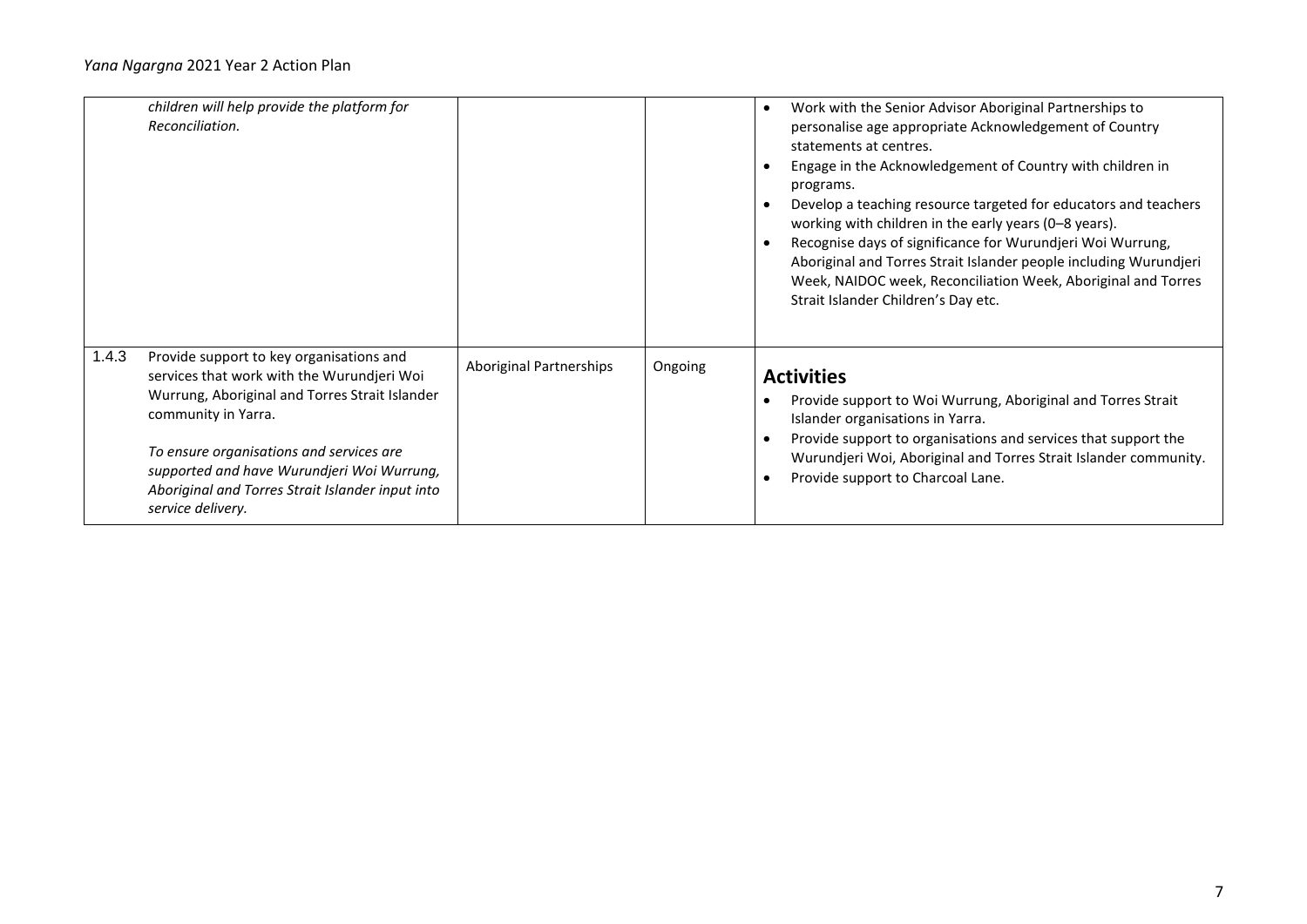|       | children will help provide the platform for<br>Reconciliation.                                                                                                                                                                                                                                                                     |                         |         | Work with the Senior Advisor Aboriginal Partnerships to<br>personalise age appropriate Acknowledgement of Country<br>statements at centres.<br>Engage in the Acknowledgement of Country with children in<br>programs.<br>Develop a teaching resource targeted for educators and teachers<br>working with children in the early years (0-8 years).<br>Recognise days of significance for Wurundjeri Woi Wurrung,<br>Aboriginal and Torres Strait Islander people including Wurundjeri<br>Week, NAIDOC week, Reconciliation Week, Aboriginal and Torres<br>Strait Islander Children's Day etc. |
|-------|------------------------------------------------------------------------------------------------------------------------------------------------------------------------------------------------------------------------------------------------------------------------------------------------------------------------------------|-------------------------|---------|----------------------------------------------------------------------------------------------------------------------------------------------------------------------------------------------------------------------------------------------------------------------------------------------------------------------------------------------------------------------------------------------------------------------------------------------------------------------------------------------------------------------------------------------------------------------------------------------|
| 1.4.3 | Provide support to key organisations and<br>services that work with the Wurundjeri Woi<br>Wurrung, Aboriginal and Torres Strait Islander<br>community in Yarra.<br>To ensure organisations and services are<br>supported and have Wurundjeri Woi Wurrung,<br>Aboriginal and Torres Strait Islander input into<br>service delivery. | Aboriginal Partnerships | Ongoing | <b>Activities</b><br>Provide support to Woi Wurrung, Aboriginal and Torres Strait<br>Islander organisations in Yarra.<br>Provide support to organisations and services that support the<br>Wurundjeri Woi, Aboriginal and Torres Strait Islander community.<br>Provide support to Charcoal Lane.                                                                                                                                                                                                                                                                                             |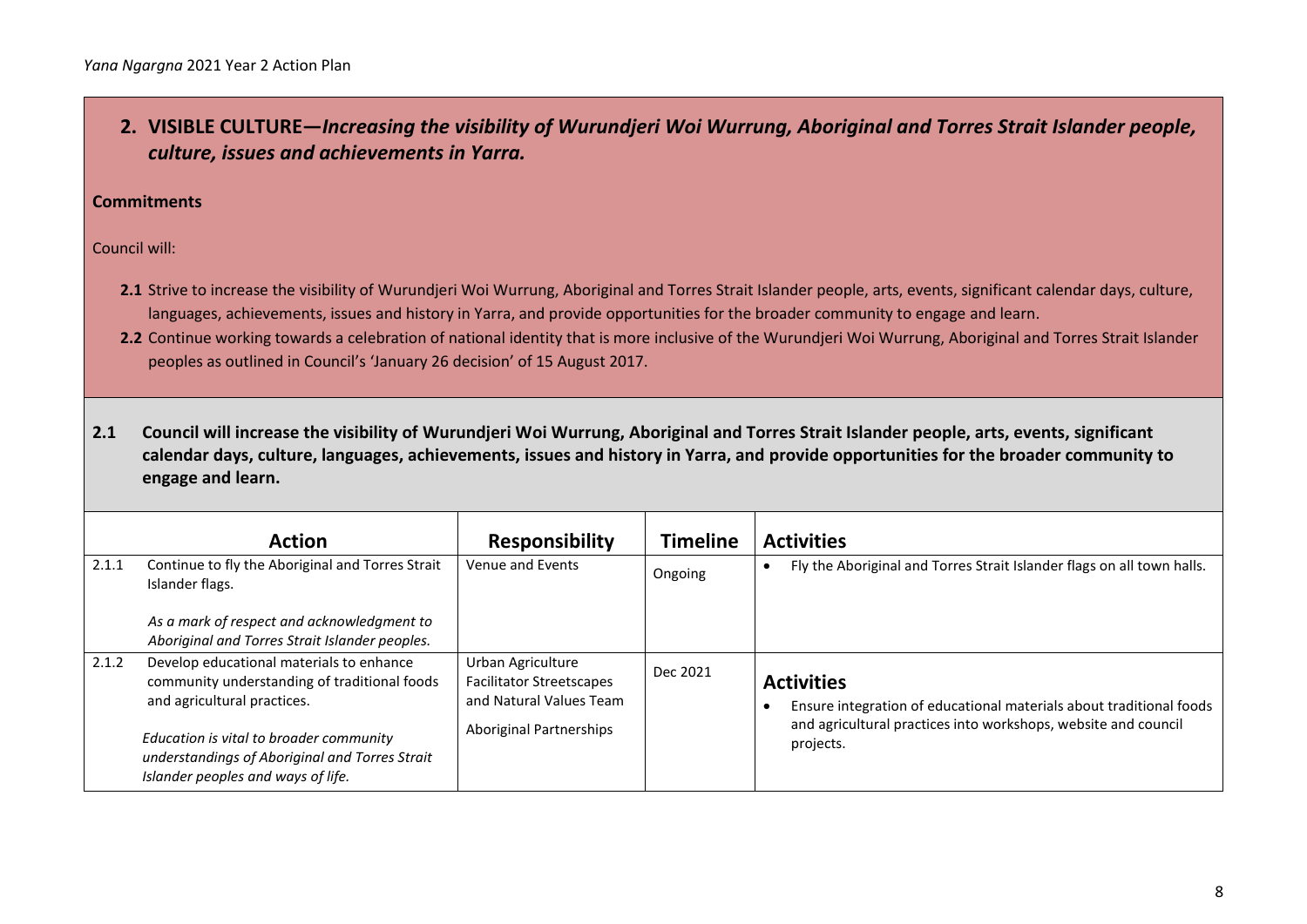**2. VISIBLE CULTURE—***Increasing the visibility of Wurundjeri Woi Wurrung, Aboriginal and Torres Strait Islander people, culture, issues and achievements in Yarra.*

#### **Commitments**

Council will:

- 2.1 Strive to increase the visibility of Wurundjeri Woi Wurrung, Aboriginal and Torres Strait Islander people, arts, events, significant calendar days, culture, languages, achievements, issues and history in Yarra, and provide opportunities for the broader community to engage and learn.
- 2.2 Continue working towards a celebration of national identity that is more inclusive of the Wurundjeri Woi Wurrung, Aboriginal and Torres Strait Islander peoples as outlined in Council's 'January 26 decision' of 15 August 2017.

**2.1 Council will increase the visibility of Wurundjeri Woi Wurrung, Aboriginal and Torres Strait Islander people, arts, events, significant calendar days, culture, languages, achievements, issues and history in Yarra, and provide opportunities for the broader community to engage and learn.**

|       | <b>Action</b>                                                                                                                                                                                                                                              | <b>Responsibility</b>                                                                                             | <b>Timeline</b> | <b>Activities</b>                                                                                                                                                       |
|-------|------------------------------------------------------------------------------------------------------------------------------------------------------------------------------------------------------------------------------------------------------------|-------------------------------------------------------------------------------------------------------------------|-----------------|-------------------------------------------------------------------------------------------------------------------------------------------------------------------------|
| 2.1.1 | Continue to fly the Aboriginal and Torres Strait<br>Islander flags.                                                                                                                                                                                        | Venue and Events                                                                                                  | Ongoing         | Fly the Aboriginal and Torres Strait Islander flags on all town halls.                                                                                                  |
|       | As a mark of respect and acknowledgment to<br>Aboriginal and Torres Strait Islander peoples.                                                                                                                                                               |                                                                                                                   |                 |                                                                                                                                                                         |
| 2.1.2 | Develop educational materials to enhance<br>community understanding of traditional foods<br>and agricultural practices.<br>Education is vital to broader community<br>understandings of Aboriginal and Torres Strait<br>Islander peoples and ways of life. | Urban Agriculture<br><b>Facilitator Streetscapes</b><br>and Natural Values Team<br><b>Aboriginal Partnerships</b> | Dec 2021        | <b>Activities</b><br>Ensure integration of educational materials about traditional foods<br>and agricultural practices into workshops, website and council<br>projects. |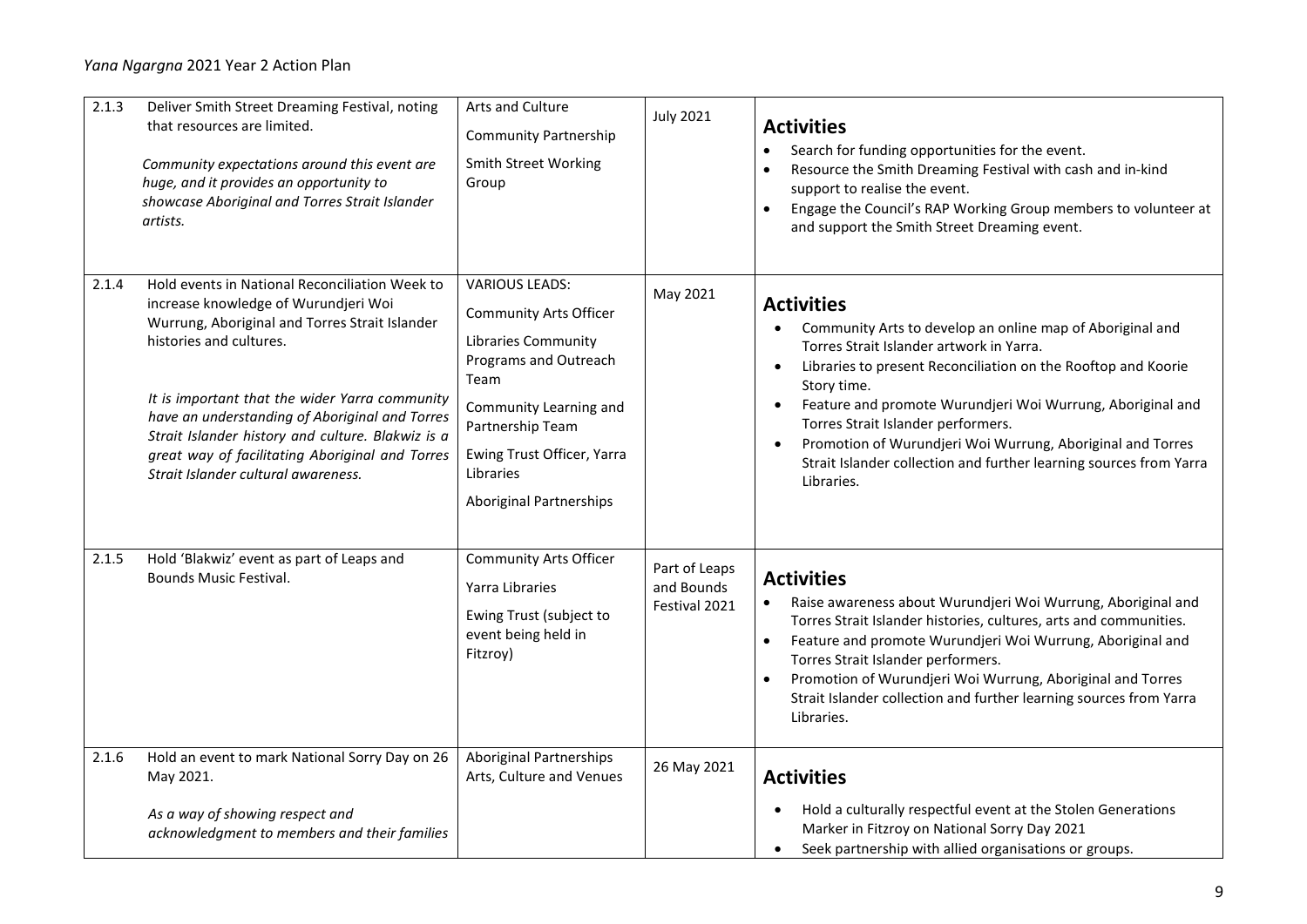| 2.1.3 | Deliver Smith Street Dreaming Festival, noting<br>that resources are limited.<br>Community expectations around this event are<br>huge, and it provides an opportunity to<br>showcase Aboriginal and Torres Strait Islander<br>artists.                                                                                                                                                                                 | Arts and Culture<br><b>Community Partnership</b><br><b>Smith Street Working</b><br>Group                                                                                                                                                  | <b>July 2021</b>                             | <b>Activities</b><br>Search for funding opportunities for the event.<br>Resource the Smith Dreaming Festival with cash and in-kind<br>support to realise the event.<br>Engage the Council's RAP Working Group members to volunteer at<br>$\bullet$<br>and support the Smith Street Dreaming event.                                                                                                                                                                                                      |
|-------|------------------------------------------------------------------------------------------------------------------------------------------------------------------------------------------------------------------------------------------------------------------------------------------------------------------------------------------------------------------------------------------------------------------------|-------------------------------------------------------------------------------------------------------------------------------------------------------------------------------------------------------------------------------------------|----------------------------------------------|---------------------------------------------------------------------------------------------------------------------------------------------------------------------------------------------------------------------------------------------------------------------------------------------------------------------------------------------------------------------------------------------------------------------------------------------------------------------------------------------------------|
| 2.1.4 | Hold events in National Reconciliation Week to<br>increase knowledge of Wurundjeri Woi<br>Wurrung, Aboriginal and Torres Strait Islander<br>histories and cultures.<br>It is important that the wider Yarra community<br>have an understanding of Aboriginal and Torres<br>Strait Islander history and culture. Blakwiz is a<br>great way of facilitating Aboriginal and Torres<br>Strait Islander cultural awareness. | <b>VARIOUS LEADS:</b><br><b>Community Arts Officer</b><br>Libraries Community<br>Programs and Outreach<br>Team<br>Community Learning and<br>Partnership Team<br>Ewing Trust Officer, Yarra<br>Libraries<br><b>Aboriginal Partnerships</b> | May 2021                                     | <b>Activities</b><br>Community Arts to develop an online map of Aboriginal and<br>Torres Strait Islander artwork in Yarra.<br>Libraries to present Reconciliation on the Rooftop and Koorie<br>$\bullet$<br>Story time.<br>Feature and promote Wurundjeri Woi Wurrung, Aboriginal and<br>$\bullet$<br>Torres Strait Islander performers.<br>Promotion of Wurundjeri Woi Wurrung, Aboriginal and Torres<br>$\bullet$<br>Strait Islander collection and further learning sources from Yarra<br>Libraries. |
| 2.1.5 | Hold 'Blakwiz' event as part of Leaps and<br><b>Bounds Music Festival.</b>                                                                                                                                                                                                                                                                                                                                             | <b>Community Arts Officer</b><br>Yarra Libraries<br>Ewing Trust (subject to<br>event being held in<br>Fitzroy)                                                                                                                            | Part of Leaps<br>and Bounds<br>Festival 2021 | <b>Activities</b><br>Raise awareness about Wurundjeri Woi Wurrung, Aboriginal and<br>Torres Strait Islander histories, cultures, arts and communities.<br>Feature and promote Wurundjeri Woi Wurrung, Aboriginal and<br>$\bullet$<br>Torres Strait Islander performers.<br>Promotion of Wurundjeri Woi Wurrung, Aboriginal and Torres<br>Strait Islander collection and further learning sources from Yarra<br>Libraries.                                                                               |
| 2.1.6 | Hold an event to mark National Sorry Day on 26<br>May 2021.<br>As a way of showing respect and<br>acknowledgment to members and their families                                                                                                                                                                                                                                                                         | <b>Aboriginal Partnerships</b><br>Arts, Culture and Venues                                                                                                                                                                                | 26 May 2021                                  | <b>Activities</b><br>Hold a culturally respectful event at the Stolen Generations<br>٠<br>Marker in Fitzroy on National Sorry Day 2021<br>Seek partnership with allied organisations or groups.                                                                                                                                                                                                                                                                                                         |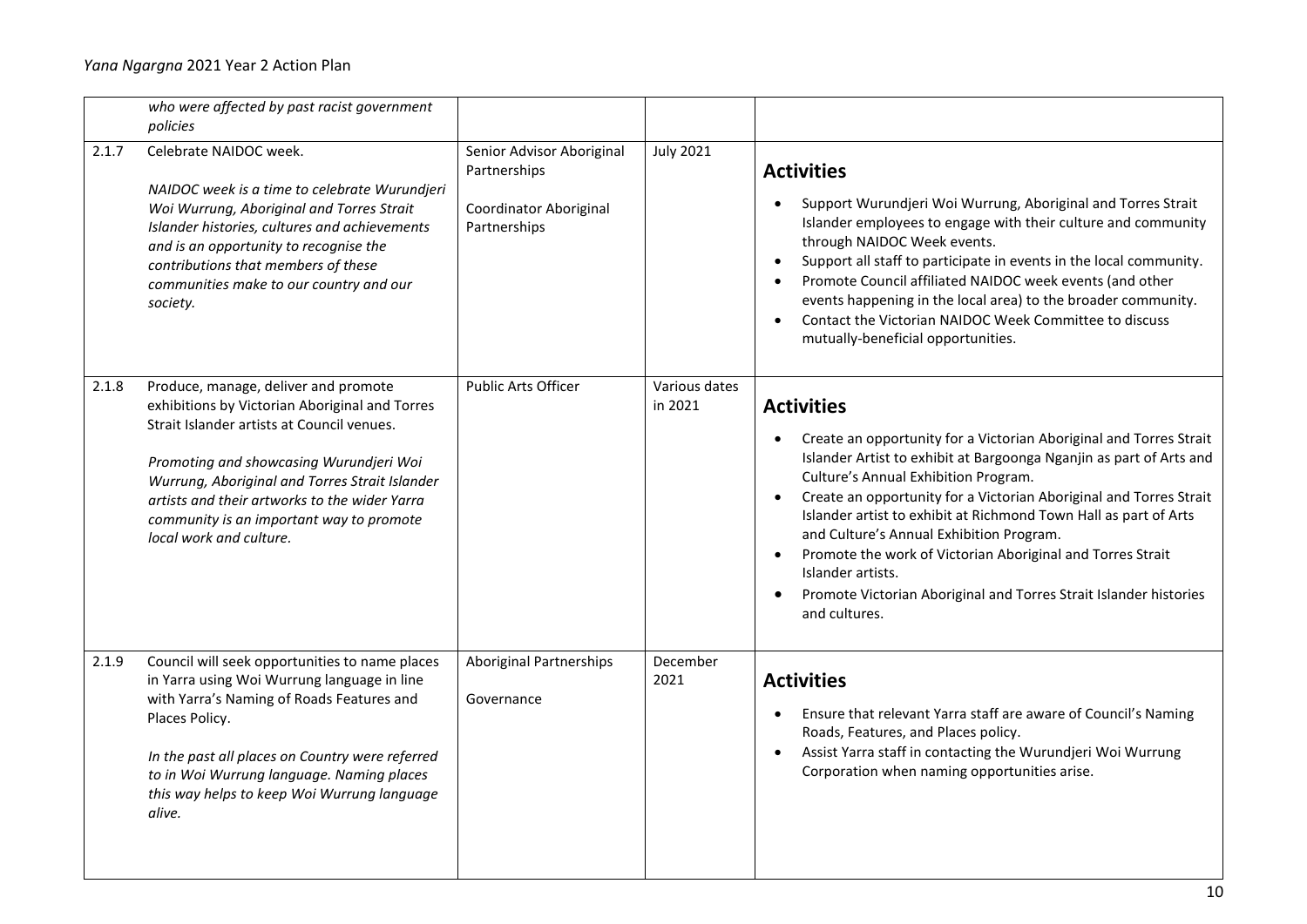|       | who were affected by past racist government<br>policies                                                                                                                                                                                                                                                                                                   |                                                                                     |                          |                                                                                                                                                                                                                                                                                                                                                                                                                                                                                                                                                                                                 |
|-------|-----------------------------------------------------------------------------------------------------------------------------------------------------------------------------------------------------------------------------------------------------------------------------------------------------------------------------------------------------------|-------------------------------------------------------------------------------------|--------------------------|-------------------------------------------------------------------------------------------------------------------------------------------------------------------------------------------------------------------------------------------------------------------------------------------------------------------------------------------------------------------------------------------------------------------------------------------------------------------------------------------------------------------------------------------------------------------------------------------------|
| 2.1.7 | Celebrate NAIDOC week.<br>NAIDOC week is a time to celebrate Wurundjeri<br>Woi Wurrung, Aboriginal and Torres Strait<br>Islander histories, cultures and achievements<br>and is an opportunity to recognise the<br>contributions that members of these<br>communities make to our country and our<br>society.                                             | Senior Advisor Aboriginal<br>Partnerships<br>Coordinator Aboriginal<br>Partnerships | <b>July 2021</b>         | <b>Activities</b><br>Support Wurundjeri Woi Wurrung, Aboriginal and Torres Strait<br>Islander employees to engage with their culture and community<br>through NAIDOC Week events.<br>Support all staff to participate in events in the local community.<br>$\bullet$<br>Promote Council affiliated NAIDOC week events (and other<br>$\bullet$<br>events happening in the local area) to the broader community.<br>Contact the Victorian NAIDOC Week Committee to discuss<br>$\bullet$<br>mutually-beneficial opportunities.                                                                     |
| 2.1.8 | Produce, manage, deliver and promote<br>exhibitions by Victorian Aboriginal and Torres<br>Strait Islander artists at Council venues.<br>Promoting and showcasing Wurundjeri Woi<br>Wurrung, Aboriginal and Torres Strait Islander<br>artists and their artworks to the wider Yarra<br>community is an important way to promote<br>local work and culture. | <b>Public Arts Officer</b>                                                          | Various dates<br>in 2021 | <b>Activities</b><br>Create an opportunity for a Victorian Aboriginal and Torres Strait<br>Islander Artist to exhibit at Bargoonga Nganjin as part of Arts and<br>Culture's Annual Exhibition Program.<br>Create an opportunity for a Victorian Aboriginal and Torres Strait<br>$\bullet$<br>Islander artist to exhibit at Richmond Town Hall as part of Arts<br>and Culture's Annual Exhibition Program.<br>Promote the work of Victorian Aboriginal and Torres Strait<br>Islander artists.<br>Promote Victorian Aboriginal and Torres Strait Islander histories<br>$\bullet$<br>and cultures. |
| 2.1.9 | Council will seek opportunities to name places<br>in Yarra using Woi Wurrung language in line<br>with Yarra's Naming of Roads Features and<br>Places Policy.<br>In the past all places on Country were referred<br>to in Woi Wurrung language. Naming places<br>this way helps to keep Woi Wurrung language<br>alive.                                     | Aboriginal Partnerships<br>Governance                                               | December<br>2021         | <b>Activities</b><br>Ensure that relevant Yarra staff are aware of Council's Naming<br>Roads, Features, and Places policy.<br>Assist Yarra staff in contacting the Wurundjeri Woi Wurrung<br>Corporation when naming opportunities arise.                                                                                                                                                                                                                                                                                                                                                       |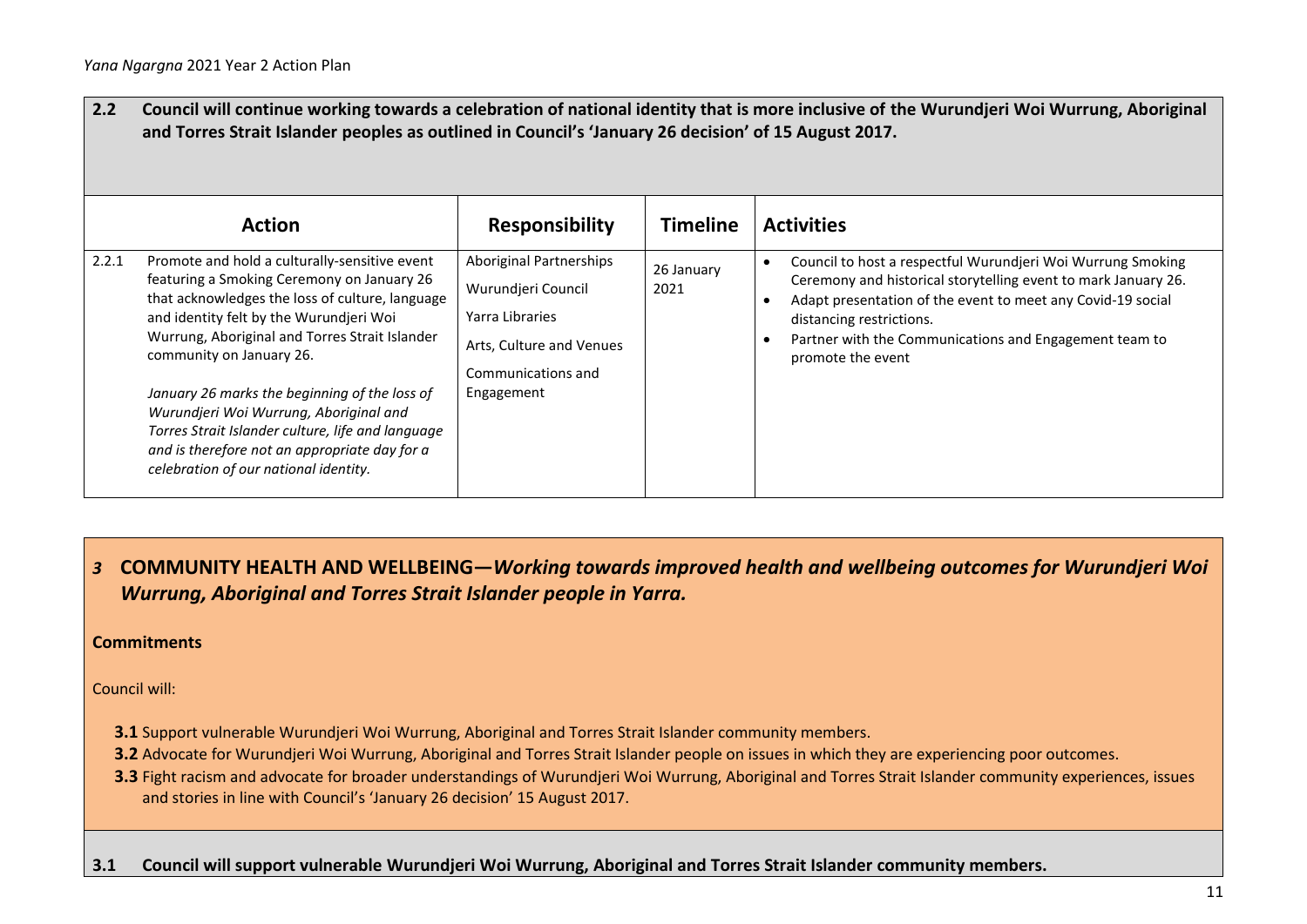| $2.2$ | and Torres Strait Islander peoples as outlined in Council's 'January 26 decision' of 15 August 2017.                                                                                                                                                                                                                                                                                                                                                                                                              |                                                                                                                                         |                    | Council will continue working towards a celebration of national identity that is more inclusive of the Wurundjeri Woi Wurrung, Aboriginal                                                                                                                                                               |
|-------|-------------------------------------------------------------------------------------------------------------------------------------------------------------------------------------------------------------------------------------------------------------------------------------------------------------------------------------------------------------------------------------------------------------------------------------------------------------------------------------------------------------------|-----------------------------------------------------------------------------------------------------------------------------------------|--------------------|---------------------------------------------------------------------------------------------------------------------------------------------------------------------------------------------------------------------------------------------------------------------------------------------------------|
|       | <b>Action</b>                                                                                                                                                                                                                                                                                                                                                                                                                                                                                                     | <b>Responsibility</b>                                                                                                                   | <b>Timeline</b>    | <b>Activities</b>                                                                                                                                                                                                                                                                                       |
| 2.2.1 | Promote and hold a culturally-sensitive event<br>featuring a Smoking Ceremony on January 26<br>that acknowledges the loss of culture, language<br>and identity felt by the Wurundjeri Woi<br>Wurrung, Aboriginal and Torres Strait Islander<br>community on January 26.<br>January 26 marks the beginning of the loss of<br>Wurundjeri Woi Wurrung, Aboriginal and<br>Torres Strait Islander culture, life and language<br>and is therefore not an appropriate day for a<br>celebration of our national identity. | <b>Aboriginal Partnerships</b><br>Wurundjeri Council<br>Yarra Libraries<br>Arts, Culture and Venues<br>Communications and<br>Engagement | 26 January<br>2021 | Council to host a respectful Wurundjeri Woi Wurrung Smoking<br>Ceremony and historical storytelling event to mark January 26.<br>Adapt presentation of the event to meet any Covid-19 social<br>distancing restrictions.<br>Partner with the Communications and Engagement team to<br>promote the event |

*3* **COMMUNITY HEALTH AND WELLBEING—***Working towards improved health and wellbeing outcomes for Wurundjeri Woi Wurrung, Aboriginal and Torres Strait Islander people in Yarra.*

#### **Commitments**

Council will:

- **3.1** Support vulnerable Wurundjeri Woi Wurrung, Aboriginal and Torres Strait Islander community members.
- **3.2** Advocate for Wurundjeri Woi Wurrung, Aboriginal and Torres Strait Islander people on issues in which they are experiencing poor outcomes.
- **3.3** Fight racism and advocate for broader understandings of Wurundjeri Woi Wurrung, Aboriginal and Torres Strait Islander community experiences, issues and stories in line with Council's 'January 26 decision' 15 August 2017.
- **3.1 Council will support vulnerable Wurundjeri Woi Wurrung, Aboriginal and Torres Strait Islander community members.**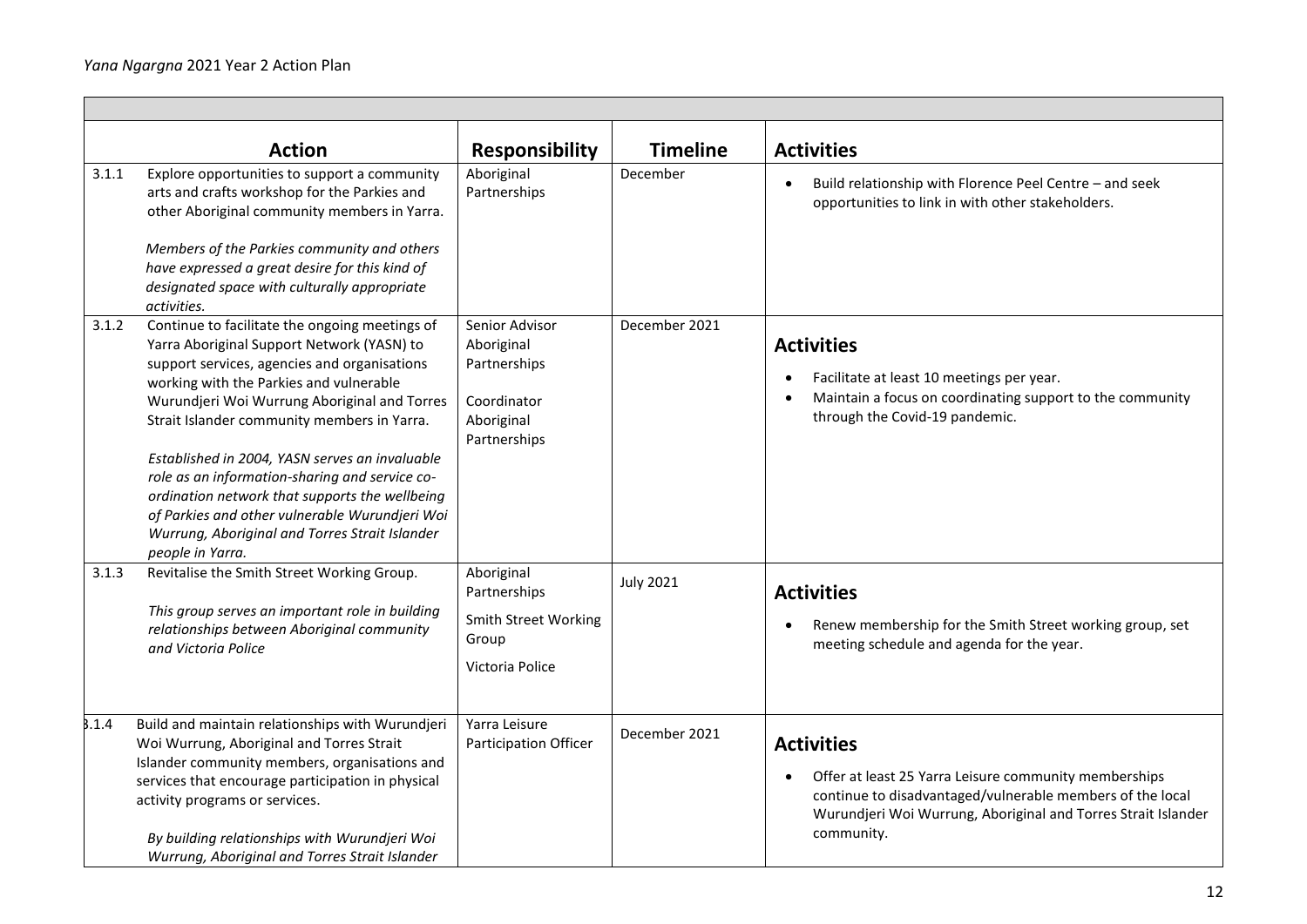|       | <b>Action</b>                                                                                                                                                                                                                                                                                                                                                                                                                                                                                                                                                        | <b>Responsibility</b>                                                                     | <b>Timeline</b>  | <b>Activities</b>                                                                                                                                                                                                                   |
|-------|----------------------------------------------------------------------------------------------------------------------------------------------------------------------------------------------------------------------------------------------------------------------------------------------------------------------------------------------------------------------------------------------------------------------------------------------------------------------------------------------------------------------------------------------------------------------|-------------------------------------------------------------------------------------------|------------------|-------------------------------------------------------------------------------------------------------------------------------------------------------------------------------------------------------------------------------------|
| 3.1.1 | Explore opportunities to support a community<br>arts and crafts workshop for the Parkies and<br>other Aboriginal community members in Yarra.<br>Members of the Parkies community and others<br>have expressed a great desire for this kind of<br>designated space with culturally appropriate<br>activities.                                                                                                                                                                                                                                                         | Aboriginal<br>Partnerships                                                                | December         | Build relationship with Florence Peel Centre - and seek<br>opportunities to link in with other stakeholders.                                                                                                                        |
| 3.1.2 | Continue to facilitate the ongoing meetings of<br>Yarra Aboriginal Support Network (YASN) to<br>support services, agencies and organisations<br>working with the Parkies and vulnerable<br>Wurundjeri Woi Wurrung Aboriginal and Torres<br>Strait Islander community members in Yarra.<br>Established in 2004, YASN serves an invaluable<br>role as an information-sharing and service co-<br>ordination network that supports the wellbeing<br>of Parkies and other vulnerable Wurundjeri Woi<br>Wurrung, Aboriginal and Torres Strait Islander<br>people in Yarra. | Senior Advisor<br>Aboriginal<br>Partnerships<br>Coordinator<br>Aboriginal<br>Partnerships | December 2021    | <b>Activities</b><br>Facilitate at least 10 meetings per year.<br>Maintain a focus on coordinating support to the community<br>through the Covid-19 pandemic.                                                                       |
| 3.1.3 | Revitalise the Smith Street Working Group.<br>This group serves an important role in building<br>relationships between Aboriginal community<br>and Victoria Police                                                                                                                                                                                                                                                                                                                                                                                                   | Aboriginal<br>Partnerships<br><b>Smith Street Working</b><br>Group<br>Victoria Police     | <b>July 2021</b> | <b>Activities</b><br>Renew membership for the Smith Street working group, set<br>$\bullet$<br>meeting schedule and agenda for the year.                                                                                             |
| 3.1.4 | Build and maintain relationships with Wurundjeri<br>Woi Wurrung, Aboriginal and Torres Strait<br>Islander community members, organisations and<br>services that encourage participation in physical<br>activity programs or services.<br>By building relationships with Wurundjeri Woi<br>Wurrung, Aboriginal and Torres Strait Islander                                                                                                                                                                                                                             | Yarra Leisure<br>Participation Officer                                                    | December 2021    | <b>Activities</b><br>Offer at least 25 Yarra Leisure community memberships<br>$\bullet$<br>continue to disadvantaged/vulnerable members of the local<br>Wurundjeri Woi Wurrung, Aboriginal and Torres Strait Islander<br>community. |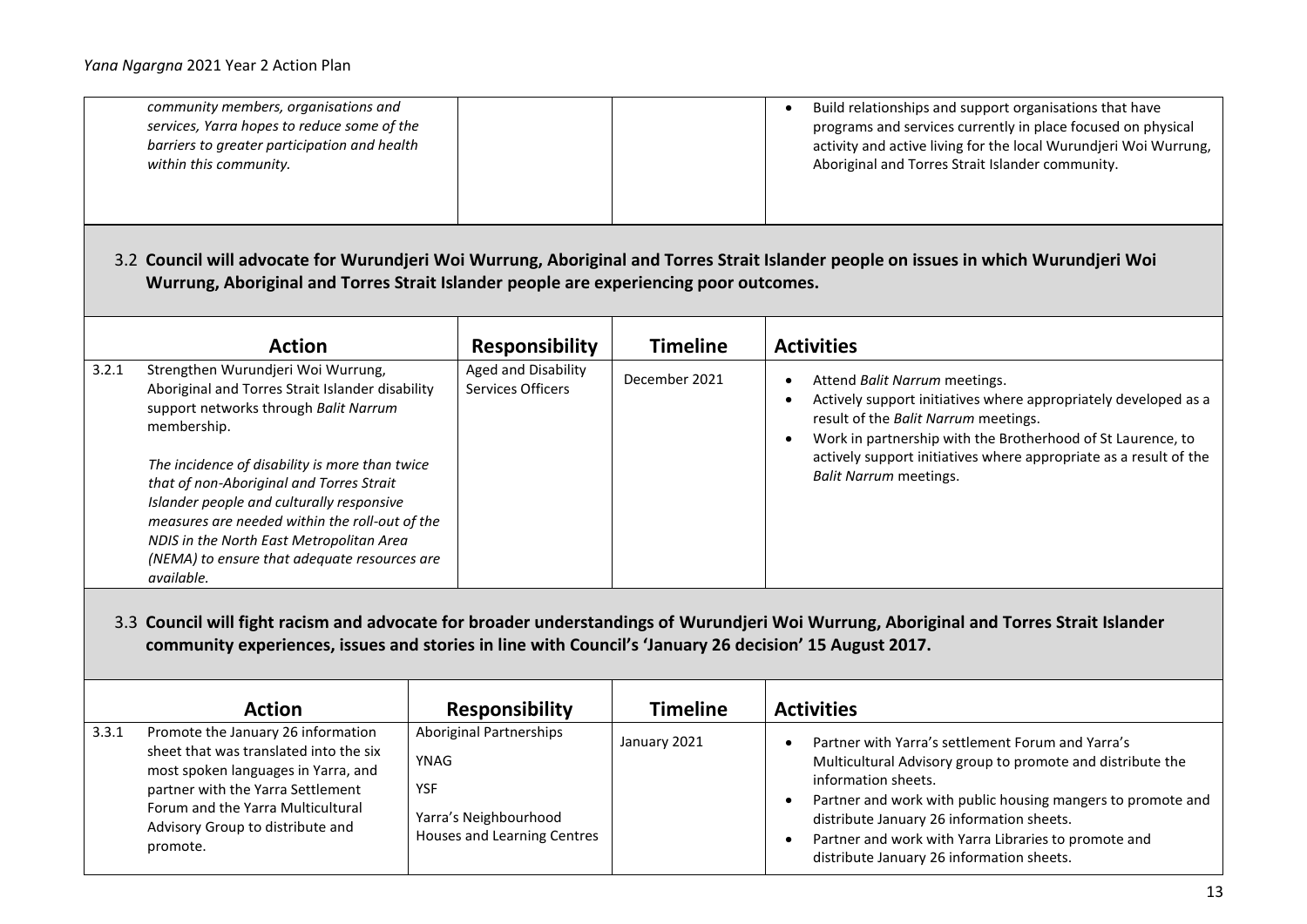|                                                                                                                                                                                                                                                  | community members, organisations and<br>services, Yarra hopes to reduce some of the<br>barriers to greater participation and health<br>within this community.                                                                                                                                                                                                                                                                                         |                                                                                                                            |                 | Build relationships and support organisations that have<br>$\bullet$<br>programs and services currently in place focused on physical<br>activity and active living for the local Wurundjeri Woi Wurrung,<br>Aboriginal and Torres Strait Islander community.                                                                                                                                   |  |
|--------------------------------------------------------------------------------------------------------------------------------------------------------------------------------------------------------------------------------------------------|-------------------------------------------------------------------------------------------------------------------------------------------------------------------------------------------------------------------------------------------------------------------------------------------------------------------------------------------------------------------------------------------------------------------------------------------------------|----------------------------------------------------------------------------------------------------------------------------|-----------------|------------------------------------------------------------------------------------------------------------------------------------------------------------------------------------------------------------------------------------------------------------------------------------------------------------------------------------------------------------------------------------------------|--|
|                                                                                                                                                                                                                                                  | Wurrung, Aboriginal and Torres Strait Islander people are experiencing poor outcomes.                                                                                                                                                                                                                                                                                                                                                                 |                                                                                                                            |                 | 3.2 Council will advocate for Wurundjeri Woi Wurrung, Aboriginal and Torres Strait Islander people on issues in which Wurundjeri Woi                                                                                                                                                                                                                                                           |  |
|                                                                                                                                                                                                                                                  | <b>Action</b>                                                                                                                                                                                                                                                                                                                                                                                                                                         | <b>Responsibility</b>                                                                                                      | <b>Timeline</b> | <b>Activities</b>                                                                                                                                                                                                                                                                                                                                                                              |  |
| 3.2.1                                                                                                                                                                                                                                            | Strengthen Wurundjeri Woi Wurrung,<br>Aboriginal and Torres Strait Islander disability<br>support networks through Balit Narrum<br>membership.<br>The incidence of disability is more than twice<br>that of non-Aboriginal and Torres Strait<br>Islander people and culturally responsive<br>measures are needed within the roll-out of the<br>NDIS in the North East Metropolitan Area<br>(NEMA) to ensure that adequate resources are<br>available. | Aged and Disability<br>Services Officers                                                                                   | December 2021   | Attend Balit Narrum meetings.<br>$\bullet$<br>Actively support initiatives where appropriately developed as a<br>$\bullet$<br>result of the Balit Narrum meetings.<br>Work in partnership with the Brotherhood of St Laurence, to<br>$\bullet$<br>actively support initiatives where appropriate as a result of the<br><b>Balit Narrum meetings.</b>                                           |  |
| 3.3 Council will fight racism and advocate for broader understandings of Wurundjeri Woi Wurrung, Aboriginal and Torres Strait Islander<br>community experiences, issues and stories in line with Council's 'January 26 decision' 15 August 2017. |                                                                                                                                                                                                                                                                                                                                                                                                                                                       |                                                                                                                            |                 |                                                                                                                                                                                                                                                                                                                                                                                                |  |
|                                                                                                                                                                                                                                                  | <b>Action</b>                                                                                                                                                                                                                                                                                                                                                                                                                                         | <b>Responsibility</b>                                                                                                      | <b>Timeline</b> | <b>Activities</b>                                                                                                                                                                                                                                                                                                                                                                              |  |
| 3.3.1                                                                                                                                                                                                                                            | Promote the January 26 information<br>sheet that was translated into the six<br>most spoken languages in Yarra, and<br>partner with the Yarra Settlement<br>Forum and the Yarra Multicultural<br>Advisory Group to distribute and<br>promote.                                                                                                                                                                                                         | <b>Aboriginal Partnerships</b><br><b>YNAG</b><br><b>YSF</b><br>Yarra's Neighbourhood<br><b>Houses and Learning Centres</b> | January 2021    | Partner with Yarra's settlement Forum and Yarra's<br>$\bullet$<br>Multicultural Advisory group to promote and distribute the<br>information sheets.<br>Partner and work with public housing mangers to promote and<br>$\bullet$<br>distribute January 26 information sheets.<br>Partner and work with Yarra Libraries to promote and<br>$\bullet$<br>distribute January 26 information sheets. |  |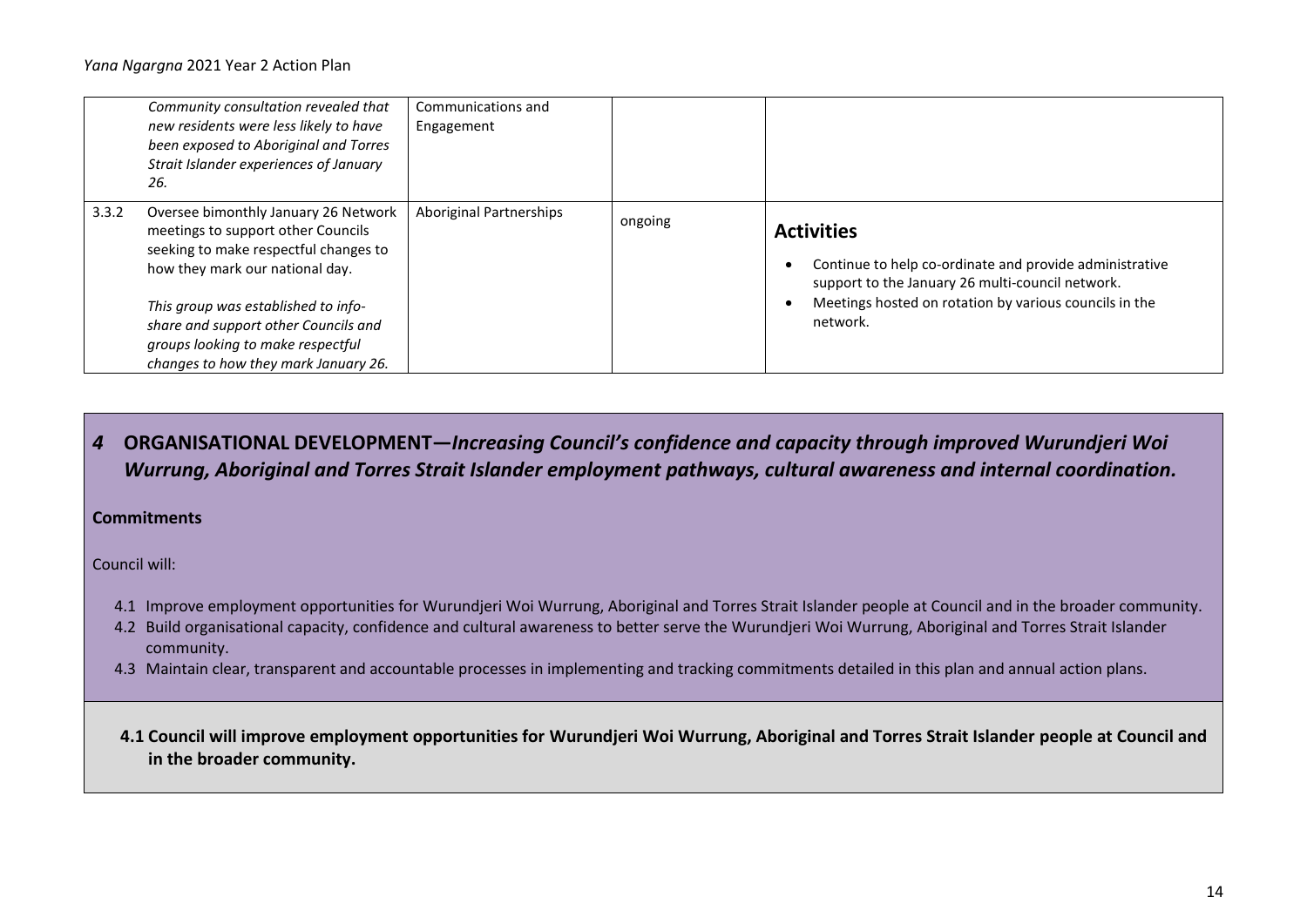|       | Community consultation revealed that<br>new residents were less likely to have<br>been exposed to Aboriginal and Torres<br>Strait Islander experiences of January<br>26.                                                                                                                                           | Communications and<br>Engagement |         |                                                                                                                                                                                                        |
|-------|--------------------------------------------------------------------------------------------------------------------------------------------------------------------------------------------------------------------------------------------------------------------------------------------------------------------|----------------------------------|---------|--------------------------------------------------------------------------------------------------------------------------------------------------------------------------------------------------------|
| 3.3.2 | Oversee bimonthly January 26 Network<br>meetings to support other Councils<br>seeking to make respectful changes to<br>how they mark our national day.<br>This group was established to info-<br>share and support other Councils and<br>groups looking to make respectful<br>changes to how they mark January 26. | <b>Aboriginal Partnerships</b>   | ongoing | <b>Activities</b><br>Continue to help co-ordinate and provide administrative<br>support to the January 26 multi-council network.<br>Meetings hosted on rotation by various councils in the<br>network. |

# *4* **ORGANISATIONAL DEVELOPMENT—***Increasing Council's confidence and capacity through improved Wurundjeri Woi Wurrung, Aboriginal and Torres Strait Islander employment pathways, cultural awareness and internal coordination.*

**Commitments** 

Council will:

- 4.1 Improve employment opportunities for Wurundjeri Woi Wurrung, Aboriginal and Torres Strait Islander people at Council and in the broader community.
- 4.2 Build organisational capacity, confidence and cultural awareness to better serve the Wurundjeri Woi Wurrung, Aboriginal and Torres Strait Islander community.
- 4.3 Maintain clear, transparent and accountable processes in implementing and tracking commitments detailed in this plan and annual action plans.

**4.1 Council will improve employment opportunities for Wurundjeri Woi Wurrung, Aboriginal and Torres Strait Islander people at Council and in the broader community.**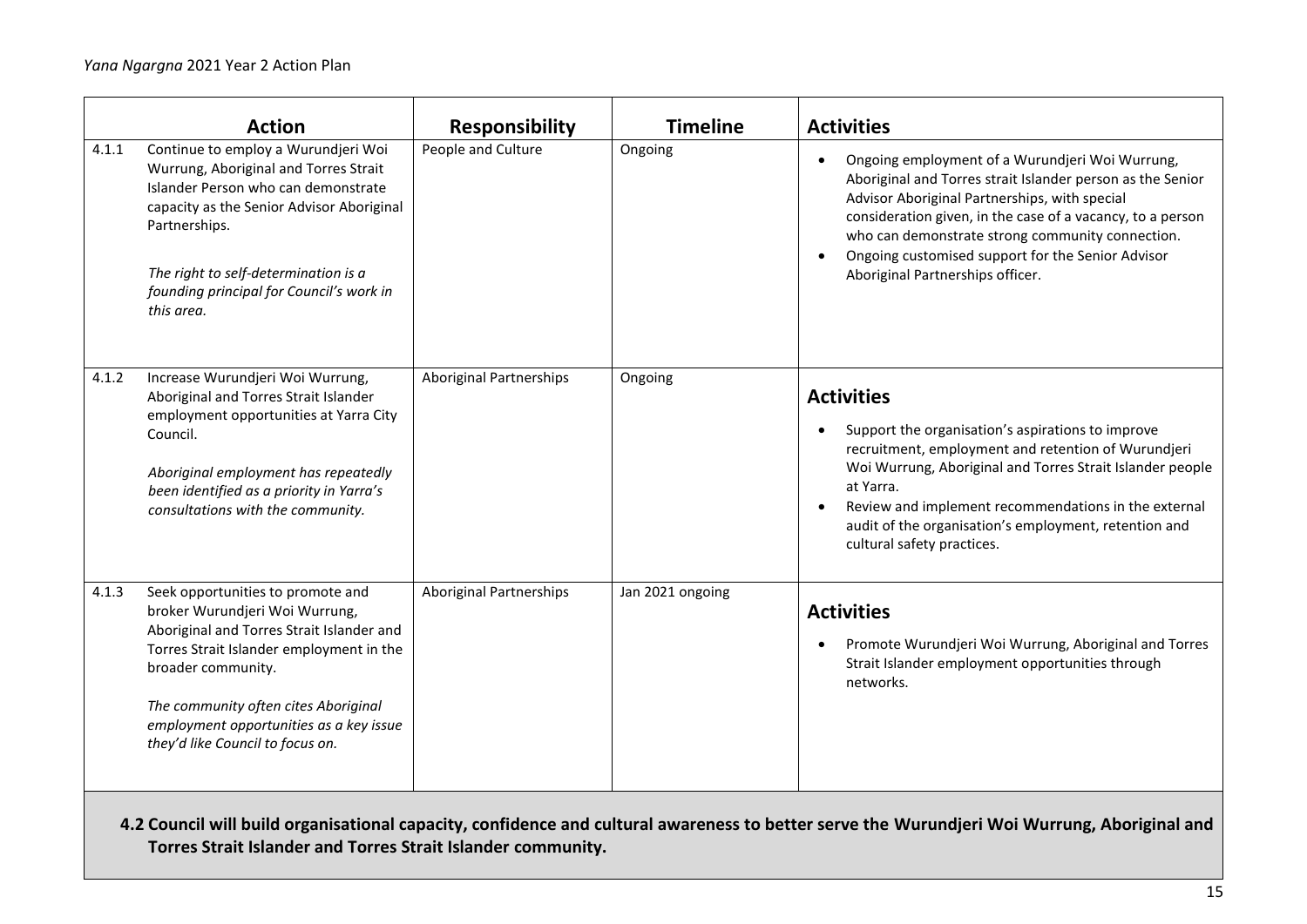|       | <b>Action</b>                                                                                                                                                                                                                                                                                             | <b>Responsibility</b>          | <b>Timeline</b>  | <b>Activities</b>                                                                                                                                                                                                                                                                                                                                                                                   |
|-------|-----------------------------------------------------------------------------------------------------------------------------------------------------------------------------------------------------------------------------------------------------------------------------------------------------------|--------------------------------|------------------|-----------------------------------------------------------------------------------------------------------------------------------------------------------------------------------------------------------------------------------------------------------------------------------------------------------------------------------------------------------------------------------------------------|
| 4.1.1 | Continue to employ a Wurundjeri Woi<br>Wurrung, Aboriginal and Torres Strait<br>Islander Person who can demonstrate<br>capacity as the Senior Advisor Aboriginal<br>Partnerships.<br>The right to self-determination is a<br>founding principal for Council's work in<br>this area.                       | People and Culture             | Ongoing          | Ongoing employment of a Wurundjeri Woi Wurrung,<br>$\bullet$<br>Aboriginal and Torres strait Islander person as the Senior<br>Advisor Aboriginal Partnerships, with special<br>consideration given, in the case of a vacancy, to a person<br>who can demonstrate strong community connection.<br>Ongoing customised support for the Senior Advisor<br>$\bullet$<br>Aboriginal Partnerships officer. |
| 4.1.2 | Increase Wurundjeri Woi Wurrung,<br>Aboriginal and Torres Strait Islander<br>employment opportunities at Yarra City<br>Council.<br>Aboriginal employment has repeatedly<br>been identified as a priority in Yarra's<br>consultations with the community.                                                  | Aboriginal Partnerships        | Ongoing          | <b>Activities</b><br>Support the organisation's aspirations to improve<br>recruitment, employment and retention of Wurundjeri<br>Woi Wurrung, Aboriginal and Torres Strait Islander people<br>at Yarra.<br>Review and implement recommendations in the external<br>$\bullet$<br>audit of the organisation's employment, retention and<br>cultural safety practices.                                 |
| 4.1.3 | Seek opportunities to promote and<br>broker Wurundjeri Woi Wurrung,<br>Aboriginal and Torres Strait Islander and<br>Torres Strait Islander employment in the<br>broader community.<br>The community often cites Aboriginal<br>employment opportunities as a key issue<br>they'd like Council to focus on. | <b>Aboriginal Partnerships</b> | Jan 2021 ongoing | <b>Activities</b><br>Promote Wurundjeri Woi Wurrung, Aboriginal and Torres<br>$\bullet$<br>Strait Islander employment opportunities through<br>networks.                                                                                                                                                                                                                                            |
|       |                                                                                                                                                                                                                                                                                                           |                                |                  |                                                                                                                                                                                                                                                                                                                                                                                                     |

**4.2 Council will build organisational capacity, confidence and cultural awareness to better serve the Wurundjeri Woi Wurrung, Aboriginal and Torres Strait Islander and Torres Strait Islander community.**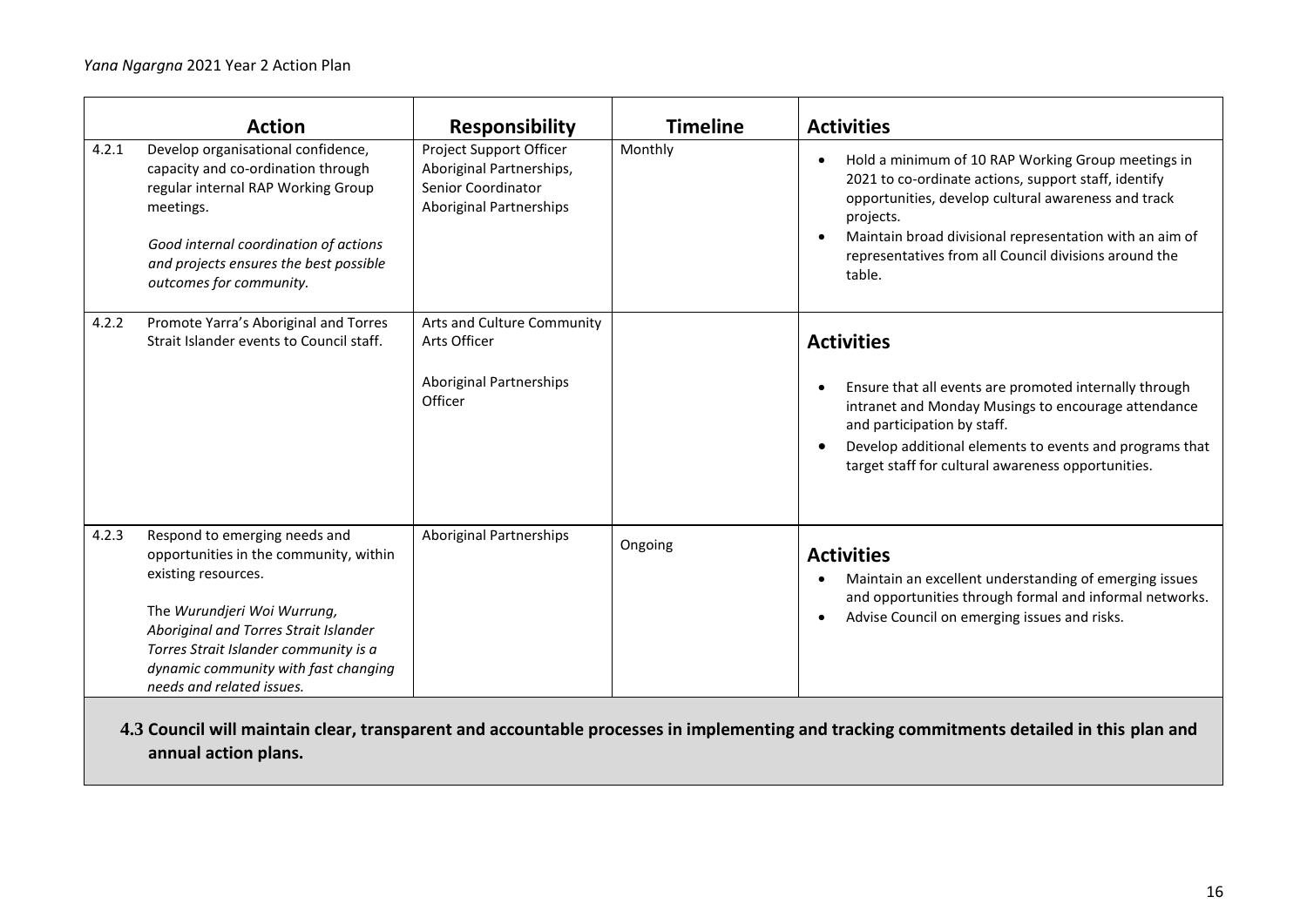|       | <b>Action</b>                                                                                                                                                                                                                                                                        | <b>Responsibility</b>                                                                                       | <b>Timeline</b> | <b>Activities</b>                                                                                                                                                                                                                                                                                                                      |
|-------|--------------------------------------------------------------------------------------------------------------------------------------------------------------------------------------------------------------------------------------------------------------------------------------|-------------------------------------------------------------------------------------------------------------|-----------------|----------------------------------------------------------------------------------------------------------------------------------------------------------------------------------------------------------------------------------------------------------------------------------------------------------------------------------------|
| 4.2.1 | Develop organisational confidence,<br>capacity and co-ordination through<br>regular internal RAP Working Group<br>meetings.<br>Good internal coordination of actions<br>and projects ensures the best possible<br>outcomes for community.                                            | Project Support Officer<br>Aboriginal Partnerships,<br>Senior Coordinator<br><b>Aboriginal Partnerships</b> | Monthly         | Hold a minimum of 10 RAP Working Group meetings in<br>$\bullet$<br>2021 to co-ordinate actions, support staff, identify<br>opportunities, develop cultural awareness and track<br>projects.<br>Maintain broad divisional representation with an aim of<br>$\bullet$<br>representatives from all Council divisions around the<br>table. |
| 4.2.2 | Promote Yarra's Aboriginal and Torres<br>Strait Islander events to Council staff.                                                                                                                                                                                                    | Arts and Culture Community<br>Arts Officer<br><b>Aboriginal Partnerships</b><br>Officer                     |                 | <b>Activities</b><br>Ensure that all events are promoted internally through<br>$\bullet$<br>intranet and Monday Musings to encourage attendance<br>and participation by staff.<br>Develop additional elements to events and programs that<br>$\bullet$<br>target staff for cultural awareness opportunities.                           |
| 4.2.3 | Respond to emerging needs and<br>opportunities in the community, within<br>existing resources.<br>The Wurundjeri Woi Wurrung,<br>Aboriginal and Torres Strait Islander<br>Torres Strait Islander community is a<br>dynamic community with fast changing<br>needs and related issues. | <b>Aboriginal Partnerships</b>                                                                              | Ongoing         | <b>Activities</b><br>Maintain an excellent understanding of emerging issues<br>٠<br>and opportunities through formal and informal networks.<br>Advise Council on emerging issues and risks.<br>$\bullet$                                                                                                                               |

**4.3 Council will maintain clear, transparent and accountable processes in implementing and tracking commitments detailed in this plan and annual action plans.**